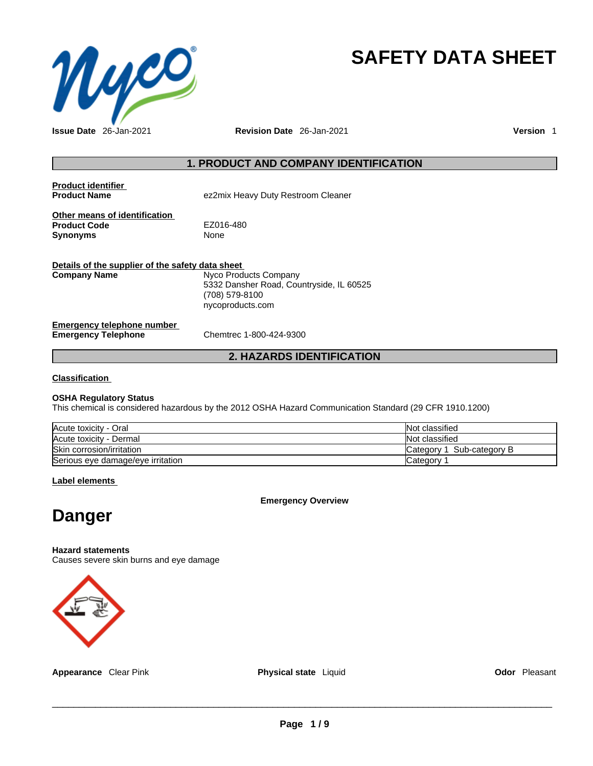

# **SAFETY DATA SHEET**

## **1. PRODUCT AND COMPANY IDENTIFICATION**

| <b>Product identifier</b><br><b>Product Name</b>                        | ez2mix Heavy Duty Restroom Cleaner                                                                      |
|-------------------------------------------------------------------------|---------------------------------------------------------------------------------------------------------|
| Other means of identification<br><b>Product Code</b><br><b>Synonyms</b> | EZ016-480<br>None                                                                                       |
| Details of the supplier of the safety data sheet<br><b>Company Name</b> | Nyco Products Company<br>5332 Dansher Road, Countryside, IL 60525<br>(708) 579-8100<br>nycoproducts.com |
| Emergency telephone number<br><b>Emergency Telephone</b>                | Chemtrec 1-800-424-9300                                                                                 |

## **2. HAZARDS IDENTIFICATION**

## **Classification**

## **OSHA Regulatory Status**

This chemical is considered hazardous by the 2012 OSHA Hazard Communication Standard (29 CFR 1910.1200)

| Acute toxicity - Oral             | Not classified                 |
|-----------------------------------|--------------------------------|
| Acute toxicity - Dermal           | Not classified                 |
| Skin corrosion/irritation         | l Sub-category B<br>Category 1 |
| Serious eye damage/eye irritation | Category                       |

**Label elements**

**Emergency Overview** 



#### **Hazard statements**

Causes severe skin burns and eye damage



**Appearance** Clear Pink **Physical state** Liquid **Odor** Pleasant

 $\_$  ,  $\_$  ,  $\_$  ,  $\_$  ,  $\_$  ,  $\_$  ,  $\_$  ,  $\_$  ,  $\_$  ,  $\_$  ,  $\_$  ,  $\_$  ,  $\_$  ,  $\_$  ,  $\_$  ,  $\_$  ,  $\_$  ,  $\_$  ,  $\_$  ,  $\_$  ,  $\_$  ,  $\_$  ,  $\_$  ,  $\_$  ,  $\_$  ,  $\_$  ,  $\_$  ,  $\_$  ,  $\_$  ,  $\_$  ,  $\_$  ,  $\_$  ,  $\_$  ,  $\_$  ,  $\_$  ,  $\_$  ,  $\_$  ,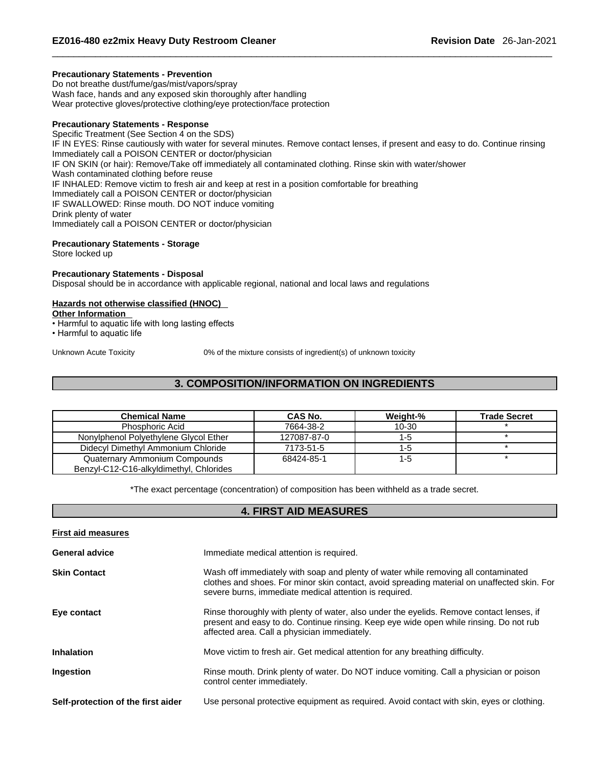## **Precautionary Statements - Prevention**

Do not breathe dust/fume/gas/mist/vapors/spray Wash face, hands and any exposed skin thoroughly after handling Wear protective gloves/protective clothing/eye protection/face protection

## **Precautionary Statements - Response**

Specific Treatment (See Section 4 on the SDS) IF IN EYES: Rinse cautiously with water for several minutes. Remove contact lenses, if present and easy to do. Continue rinsing Immediately call a POISON CENTER or doctor/physician IF ON SKIN (or hair): Remove/Take off immediately all contaminated clothing. Rinse skin with water/shower Wash contaminated clothing before reuse IF INHALED: Remove victim to fresh air and keep at rest in a position comfortable for breathing Immediately call a POISON CENTER or doctor/physician IF SWALLOWED: Rinse mouth. DO NOT induce vomiting Drink plenty of water Immediately call a POISON CENTER or doctor/physician

## **Precautionary Statements - Storage**

Store locked up

## **Precautionary Statements - Disposal**

Disposal should be in accordance with applicable regional, national and local laws and regulations

## **Hazards not otherwise classified (HNOC)**

- **Other Information**
- Harmful to aquatic life with long lasting effects
- Harmful to aquatic life

Unknown Acute Toxicity 0% of the mixture consists of ingredient(s) of unknown toxicity

## **3. COMPOSITION/INFORMATION ON INGREDIENTS**

| <b>Chemical Name</b>                                                     | <b>CAS No.</b> | Weight-%  | <b>Trade Secret</b> |
|--------------------------------------------------------------------------|----------------|-----------|---------------------|
| Phosphoric Acid                                                          | 7664-38-2      | $10 - 30$ |                     |
| Nonylphenol Polyethylene Glycol Ether                                    | 127087-87-0    | $1 - 5$   |                     |
| Didecyl Dimethyl Ammonium Chloride                                       | 7173-51-5      | 1-5       |                     |
| Quaternary Ammonium Compounds<br>Benzyl-C12-C16-alkyldimethyl, Chlorides | 68424-85-1     | $1 - 5$   |                     |

\*The exact percentage (concentration) of composition has been withheld as a trade secret.

## **4. FIRST AID MEASURES**

| <b>First aid measures</b>          |                                                                                                                                                                                                                                             |
|------------------------------------|---------------------------------------------------------------------------------------------------------------------------------------------------------------------------------------------------------------------------------------------|
| <b>General advice</b>              | Immediate medical attention is required.                                                                                                                                                                                                    |
| <b>Skin Contact</b>                | Wash off immediately with soap and plenty of water while removing all contaminated<br>clothes and shoes. For minor skin contact, avoid spreading material on unaffected skin. For<br>severe burns, immediate medical attention is required. |
| Eye contact                        | Rinse thoroughly with plenty of water, also under the eyelids. Remove contact lenses, if<br>present and easy to do. Continue rinsing. Keep eye wide open while rinsing. Do not rub<br>affected area. Call a physician immediately.          |
| <b>Inhalation</b>                  | Move victim to fresh air. Get medical attention for any breathing difficulty.                                                                                                                                                               |
| Ingestion                          | Rinse mouth. Drink plenty of water. Do NOT induce vomiting. Call a physician or poison<br>control center immediately.                                                                                                                       |
| Self-protection of the first aider | Use personal protective equipment as required. Avoid contact with skin, eyes or clothing.                                                                                                                                                   |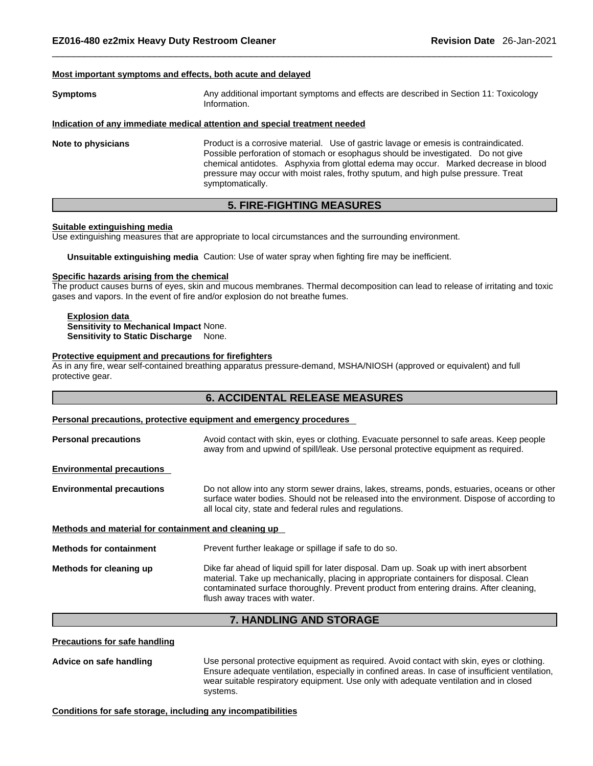## **Most important symptoms and effects, both acute and delayed**

| <b>Symptoms</b> | Any additional important symptoms and effects are described in Section 11: Toxicology |
|-----------------|---------------------------------------------------------------------------------------|
|                 | Information.                                                                          |

## **Indication of any immediate medical attention and special treatment needed**

**Note to physicians** Product is a corrosive material. Use of gastric lavage or emesis is contraindicated. Possible perforation of stomach or esophagus should be investigated. Do not give chemical antidotes. Asphyxia from glottal edema may occur. Marked decrease in blood pressure may occur with moist rales, frothy sputum, and high pulse pressure. Treat symptomatically.

## **5. FIRE-FIGHTING MEASURES**

#### **Suitable extinguishing media**

Use extinguishing measures that are appropriate to local circumstances and the surrounding environment.

**Unsuitable extinguishing media** Caution: Use of water spray when fighting fire may be inefficient.

### **Specific hazards arising from the chemical**

The product causes burns of eyes, skin and mucous membranes. Thermal decomposition can lead to release of irritating and toxic gases and vapors. In the event of fire and/or explosion do not breathe fumes.

#### **Explosion data Sensitivity to Mechanical Impact** None. **Sensitivity to Static Discharge** None.

## **Protective equipment and precautions for firefighters**

As in any fire, wear self-contained breathing apparatus pressure-demand, MSHA/NIOSH (approved or equivalent) and full protective gear.

## **6. ACCIDENTAL RELEASE MEASURES**

## **Personal precautions, protective equipment and emergency procedures**

| <b>Personal precautions</b>                          | Avoid contact with skin, eyes or clothing. Evacuate personnel to safe areas. Keep people<br>away from and upwind of spill/leak. Use personal protective equipment as required.                                                                                                                              |  |
|------------------------------------------------------|-------------------------------------------------------------------------------------------------------------------------------------------------------------------------------------------------------------------------------------------------------------------------------------------------------------|--|
| <b>Environmental precautions</b>                     |                                                                                                                                                                                                                                                                                                             |  |
| <b>Environmental precautions</b>                     | Do not allow into any storm sewer drains, lakes, streams, ponds, estuaries, oceans or other<br>surface water bodies. Should not be released into the environment. Dispose of according to<br>all local city, state and federal rules and regulations.                                                       |  |
| Methods and material for containment and cleaning up |                                                                                                                                                                                                                                                                                                             |  |
| <b>Methods for containment</b>                       | Prevent further leakage or spillage if safe to do so.                                                                                                                                                                                                                                                       |  |
| Methods for cleaning up                              | Dike far ahead of liquid spill for later disposal. Dam up. Soak up with inert absorbent<br>material. Take up mechanically, placing in appropriate containers for disposal. Clean<br>contaminated surface thoroughly. Prevent product from entering drains. After cleaning,<br>flush away traces with water. |  |

## **7. HANDLING AND STORAGE**

## **Precautions for safe handling**

**Advice on safe handling** Use personal protective equipment as required.Avoid contact with skin, eyes or clothing. Ensure adequate ventilation, especially in confined areas. In case of insufficient ventilation, wear suitable respiratory equipment. Use only with adequate ventilation and in closed systems.

**Conditions for safe storage, including any incompatibilities**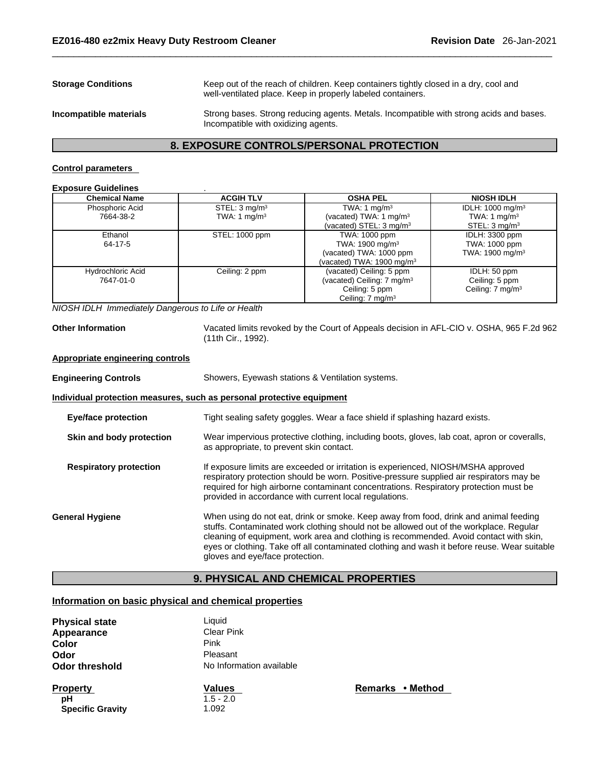|                           | 8. EXPOSURE CONTROLS/PERSONAL PROTECTION                                                                                                            |
|---------------------------|-----------------------------------------------------------------------------------------------------------------------------------------------------|
| Incompatible materials    | Strong bases. Strong reducing agents. Metals. Incompatible with strong acids and bases.<br>Incompatible with oxidizing agents.                      |
| <b>Storage Conditions</b> | Keep out of the reach of children. Keep containers tightly closed in a dry, cool and<br>well-ventilated place. Keep in properly labeled containers. |

## **Control parameters**

### **Exposure Guidelines** .

| <b>Chemical Name</b> | <b>ACGIH TLV</b>         | <b>OSHA PEL</b>                        | <b>NIOSH IDLH</b>            |
|----------------------|--------------------------|----------------------------------------|------------------------------|
| Phosphoric Acid      | STEL: $3 \text{ mg/m}^3$ | TWA: 1 $mq/m3$                         | IDLH: 1000 mg/m <sup>3</sup> |
| 7664-38-2            | TWA: 1 $mq/m3$           | (vacated) TWA: 1 mg/m $3$              | TWA: 1 $mq/m3$               |
|                      |                          | (vacated) STEL: $3 \text{ mg/m}^3$     | STEL: 3 mg/m <sup>3</sup>    |
| Ethanol              | STEL: 1000 ppm           | TWA: 1000 ppm                          | IDLH: 3300 ppm               |
| 64-17-5              |                          | TWA: 1900 mg/m <sup>3</sup>            | TWA: 1000 ppm                |
|                      |                          | (vacated) TWA: 1000 ppm                | TWA: 1900 mg/m <sup>3</sup>  |
|                      |                          | (vacated) TWA: $1900 \text{ mg/m}^3$   |                              |
| Hydrochloric Acid    | Ceiling: 2 ppm           | (vacated) Ceiling: 5 ppm               | IDLH: 50 ppm                 |
| 7647-01-0            |                          | (vacated) Ceiling: 7 mg/m <sup>3</sup> | Ceiling: 5 ppm               |
|                      |                          | Ceiling: 5 ppm                         | Ceiling: 7 mg/m <sup>3</sup> |
|                      |                          | Ceiling: 7 mg/m <sup>3</sup>           |                              |

*NIOSH IDLH Immediately Dangerous to Life or Health* 

**Other Information** Vacated limits revoked by the Court of Appeals decision in AFL-CIO v.OSHA, 965 F.2d 962 (11th Cir., 1992).

## **Appropriate engineering controls**

| <b>Engineering Controls</b>   | Showers, Eyewash stations & Ventilation systems.                                                                                                                                                                                                                                                                                                                                                            |
|-------------------------------|-------------------------------------------------------------------------------------------------------------------------------------------------------------------------------------------------------------------------------------------------------------------------------------------------------------------------------------------------------------------------------------------------------------|
|                               | Individual protection measures, such as personal protective equipment                                                                                                                                                                                                                                                                                                                                       |
| <b>Eye/face protection</b>    | Tight sealing safety goggles. Wear a face shield if splashing hazard exists.                                                                                                                                                                                                                                                                                                                                |
| Skin and body protection      | Wear impervious protective clothing, including boots, gloves, lab coat, apron or coveralls,<br>as appropriate, to prevent skin contact.                                                                                                                                                                                                                                                                     |
| <b>Respiratory protection</b> | If exposure limits are exceeded or irritation is experienced, NIOSH/MSHA approved<br>respiratory protection should be worn. Positive-pressure supplied air respirators may be<br>required for high airborne contaminant concentrations. Respiratory protection must be<br>provided in accordance with current local regulations.                                                                            |
| <b>General Hygiene</b>        | When using do not eat, drink or smoke. Keep away from food, drink and animal feeding<br>stuffs. Contaminated work clothing should not be allowed out of the workplace. Regular<br>cleaning of equipment, work area and clothing is recommended. Avoid contact with skin,<br>eyes or clothing. Take off all contaminated clothing and wash it before reuse. Wear suitable<br>gloves and eye/face protection. |

## **9. PHYSICAL AND CHEMICAL PROPERTIES**

## **Information on basic physical and chemical properties**

| <b>Physical state</b><br>Appearance<br>Color<br>Odor<br>Odor threshold | Liquid<br><b>Clear Pink</b><br>Pink<br>Pleasant<br>No Information available |  |
|------------------------------------------------------------------------|-----------------------------------------------------------------------------|--|
| <b>Property</b><br>рH<br><b>Specific Gravity</b>                       | <b>Values</b><br>$1.5 - 2.0$<br>1.092                                       |  |

**Property Values Remarks • Method**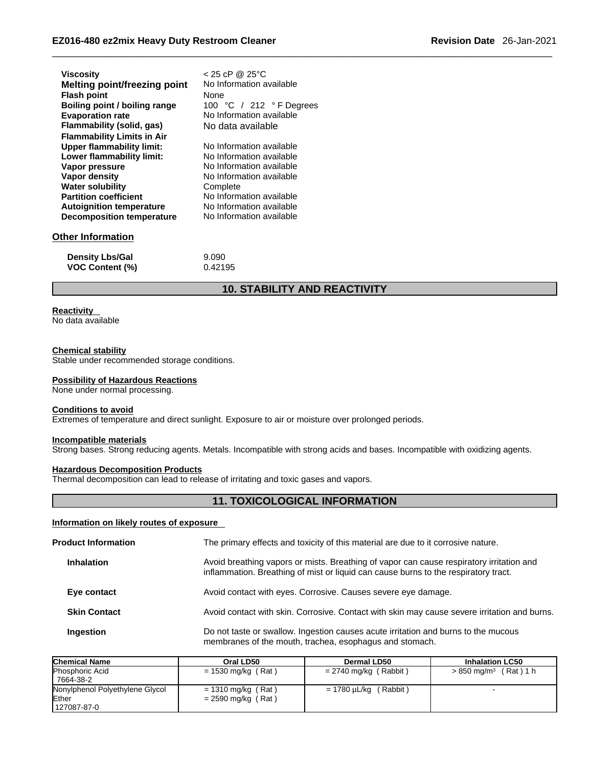| <b>Viscosity</b>                  | $< 25$ cP @ 25°C         |
|-----------------------------------|--------------------------|
| Melting point/freezing point      | No Information available |
| <b>Flash point</b>                | None                     |
| Boiling point / boiling range     | 100 °C / 212 °F Degrees  |
| <b>Evaporation rate</b>           | No Information available |
| Flammability (solid, gas)         | No data available        |
| <b>Flammability Limits in Air</b> |                          |
| <b>Upper flammability limit:</b>  | No Information available |
| Lower flammability limit:         | No Information available |
| Vapor pressure                    | No Information available |
| Vapor density                     | No Information available |
| <b>Water solubility</b>           | Complete                 |
| <b>Partition coefficient</b>      | No Information available |
| <b>Autoignition temperature</b>   | No Information available |
| <b>Decomposition temperature</b>  | No Information available |
|                                   |                          |
| <b>Other Information</b>          |                          |
|                                   |                          |
| <b>Density Lbs/Gal</b>            | 9.090                    |
| <b>VOC Content (%)</b>            | 0.42195                  |

## **10. STABILITY AND REACTIVITY**

## **Reactivity**

No data available

## **Chemical stability**

Stable under recommended storage conditions.

## **Possibility of Hazardous Reactions**

None under normal processing.

## **Conditions to avoid**

Extremes of temperature and direct sunlight. Exposure to air or moisture over prolonged periods.

#### **Incompatible materials**

Strong bases. Strong reducing agents. Metals. Incompatible with strong acids and bases. Incompatible with oxidizing agents.

## **Hazardous Decomposition Products**

Thermal decomposition can lead to release of irritating and toxic gases and vapors.

## **11. TOXICOLOGICAL INFORMATION**

## **Information on likely routes of exposure**

| <b>Product Information</b> |                     | The primary effects and toxicity of this material are due to it corrosive nature.                                                                                               |
|----------------------------|---------------------|---------------------------------------------------------------------------------------------------------------------------------------------------------------------------------|
|                            | <b>Inhalation</b>   | Avoid breathing vapors or mists. Breathing of vapor can cause respiratory irritation and<br>inflammation. Breathing of mist or liquid can cause burns to the respiratory tract. |
|                            | Eye contact         | Avoid contact with eyes. Corrosive. Causes severe eye damage.                                                                                                                   |
|                            | <b>Skin Contact</b> | Avoid contact with skin. Corrosive. Contact with skin may cause severe irritation and burns.                                                                                    |
|                            | <b>Ingestion</b>    | Do not taste or swallow. Ingestion causes acute irritation and burns to the mucous<br>membranes of the mouth, trachea, esophagus and stomach.                                   |

| <b>Chemical Name</b>            | Oral LD50            | Dermal LD50                | <b>Inhalation LC50</b>           |
|---------------------------------|----------------------|----------------------------|----------------------------------|
| <b>Phosphoric Acid</b>          | $= 1530$ mg/kg (Rat) | = 2740 mg/kg (Rabbit)      | $> 850 \text{ mg/m}^3$ (Rat) 1 h |
| 7664-38-2                       |                      |                            |                                  |
| Nonylphenol Polyethylene Glycol | $= 1310$ mg/kg (Rat) | $= 1780 \mu L/kg$ (Rabbit) |                                  |
| Ether                           | $= 2590$ mg/kg (Rat) |                            |                                  |
| 127087-87-0                     |                      |                            |                                  |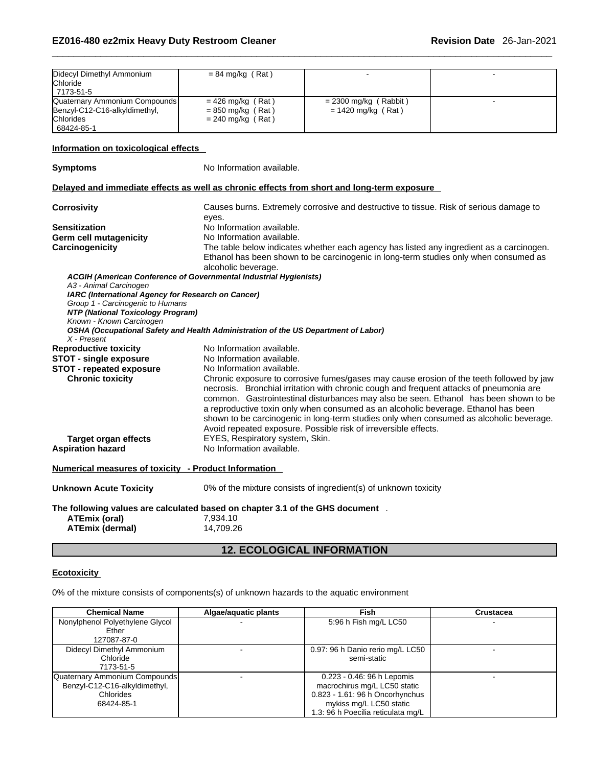| $= 84$ mg/kg (Rat)<br>Chloride<br>7173-51-5<br>$= 426$ mg/kg (Rat)<br>$= 2300$ mg/kg (Rabbit)<br>$= 850$ mg/kg (Rat)<br>$= 1420$ mg/kg (Rat)<br>Chlorides<br>$= 240$ mg/kg (Rat)<br>68424-85-1<br>No Information available.<br>Causes burns. Extremely corrosive and destructive to tissue. Risk of serious damage to<br>eyes.<br>No Information available.<br>No Information available.<br>The table below indicates whether each agency has listed any ingredient as a carcinogen.<br>Ethanol has been shown to be carcinogenic in long-term studies only when consumed as<br>alcoholic beverage.<br>ACGIH (American Conference of Governmental Industrial Hygienists)<br>A3 - Animal Carcinogen<br>IARC (International Agency for Research on Cancer)<br>Group 1 - Carcinogenic to Humans<br>NTP (National Toxicology Program)<br>Known - Known Carcinogen<br>OSHA (Occupational Safety and Health Administration of the US Department of Labor)<br>X - Present<br>No Information available.<br>No Information available.<br>No Information available.<br>Chronic exposure to corrosive fumes/gases may cause erosion of the teeth followed by jaw<br><b>Chronic toxicity</b><br>necrosis. Bronchial irritation with chronic cough and frequent attacks of pneumonia are<br>common. Gastrointestinal disturbances may also be seen. Ethanol has been shown to be<br>a reproductive toxin only when consumed as an alcoholic beverage. Ethanol has been<br>shown to be carcinogenic in long-term studies only when consumed as alcoholic beverage.<br>Avoid repeated exposure. Possible risk of irreversible effects.<br>EYES, Respiratory system, Skin.<br><b>Target organ effects</b><br>No Information available.<br>0% of the mixture consists of ingredient(s) of unknown toxicity<br><b>ATEmix (oral)</b><br>7,934.10<br><b>ATEmix (dermal)</b><br>14,709.26 | <b>12. ECOLOGICAL INFORMATION</b> |                               |  |  |
|----------------------------------------------------------------------------------------------------------------------------------------------------------------------------------------------------------------------------------------------------------------------------------------------------------------------------------------------------------------------------------------------------------------------------------------------------------------------------------------------------------------------------------------------------------------------------------------------------------------------------------------------------------------------------------------------------------------------------------------------------------------------------------------------------------------------------------------------------------------------------------------------------------------------------------------------------------------------------------------------------------------------------------------------------------------------------------------------------------------------------------------------------------------------------------------------------------------------------------------------------------------------------------------------------------------------------------------------------------------------------------------------------------------------------------------------------------------------------------------------------------------------------------------------------------------------------------------------------------------------------------------------------------------------------------------------------------------------------------------------------------------------------------------------------------------------------------------------------------------------|-----------------------------------|-------------------------------|--|--|
| Quaternary Ammonium Compounds<br>Benzyl-C12-C16-alkyldimethyl,<br>Information on toxicological effects<br><b>Symptoms</b><br>Delayed and immediate effects as well as chronic effects from short and long-term exposure<br>Corrosivity<br>Sensitization<br><b>Reproductive toxicity</b><br><b>Unknown Acute Toxicity</b>                                                                                                                                                                                                                                                                                                                                                                                                                                                                                                                                                                                                                                                                                                                                                                                                                                                                                                                                                                                                                                                                                                                                                                                                                                                                                                                                                                                                                                                                                                                                             |                                   | Didecyl Dimethyl Ammonium     |  |  |
|                                                                                                                                                                                                                                                                                                                                                                                                                                                                                                                                                                                                                                                                                                                                                                                                                                                                                                                                                                                                                                                                                                                                                                                                                                                                                                                                                                                                                                                                                                                                                                                                                                                                                                                                                                                                                                                                      |                                   |                               |  |  |
|                                                                                                                                                                                                                                                                                                                                                                                                                                                                                                                                                                                                                                                                                                                                                                                                                                                                                                                                                                                                                                                                                                                                                                                                                                                                                                                                                                                                                                                                                                                                                                                                                                                                                                                                                                                                                                                                      |                                   |                               |  |  |
|                                                                                                                                                                                                                                                                                                                                                                                                                                                                                                                                                                                                                                                                                                                                                                                                                                                                                                                                                                                                                                                                                                                                                                                                                                                                                                                                                                                                                                                                                                                                                                                                                                                                                                                                                                                                                                                                      |                                   |                               |  |  |
|                                                                                                                                                                                                                                                                                                                                                                                                                                                                                                                                                                                                                                                                                                                                                                                                                                                                                                                                                                                                                                                                                                                                                                                                                                                                                                                                                                                                                                                                                                                                                                                                                                                                                                                                                                                                                                                                      |                                   |                               |  |  |
| <b>STOT - repeated exposure</b><br><b>Aspiration hazard</b><br>Numerical measures of toxicity - Product Information<br>The following values are calculated based on chapter 3.1 of the GHS document.                                                                                                                                                                                                                                                                                                                                                                                                                                                                                                                                                                                                                                                                                                                                                                                                                                                                                                                                                                                                                                                                                                                                                                                                                                                                                                                                                                                                                                                                                                                                                                                                                                                                 |                                   |                               |  |  |
|                                                                                                                                                                                                                                                                                                                                                                                                                                                                                                                                                                                                                                                                                                                                                                                                                                                                                                                                                                                                                                                                                                                                                                                                                                                                                                                                                                                                                                                                                                                                                                                                                                                                                                                                                                                                                                                                      |                                   |                               |  |  |
|                                                                                                                                                                                                                                                                                                                                                                                                                                                                                                                                                                                                                                                                                                                                                                                                                                                                                                                                                                                                                                                                                                                                                                                                                                                                                                                                                                                                                                                                                                                                                                                                                                                                                                                                                                                                                                                                      |                                   | <b>Germ cell mutagenicity</b> |  |  |
|                                                                                                                                                                                                                                                                                                                                                                                                                                                                                                                                                                                                                                                                                                                                                                                                                                                                                                                                                                                                                                                                                                                                                                                                                                                                                                                                                                                                                                                                                                                                                                                                                                                                                                                                                                                                                                                                      |                                   | Carcinogenicity               |  |  |
|                                                                                                                                                                                                                                                                                                                                                                                                                                                                                                                                                                                                                                                                                                                                                                                                                                                                                                                                                                                                                                                                                                                                                                                                                                                                                                                                                                                                                                                                                                                                                                                                                                                                                                                                                                                                                                                                      |                                   |                               |  |  |
|                                                                                                                                                                                                                                                                                                                                                                                                                                                                                                                                                                                                                                                                                                                                                                                                                                                                                                                                                                                                                                                                                                                                                                                                                                                                                                                                                                                                                                                                                                                                                                                                                                                                                                                                                                                                                                                                      |                                   |                               |  |  |
|                                                                                                                                                                                                                                                                                                                                                                                                                                                                                                                                                                                                                                                                                                                                                                                                                                                                                                                                                                                                                                                                                                                                                                                                                                                                                                                                                                                                                                                                                                                                                                                                                                                                                                                                                                                                                                                                      |                                   |                               |  |  |
|                                                                                                                                                                                                                                                                                                                                                                                                                                                                                                                                                                                                                                                                                                                                                                                                                                                                                                                                                                                                                                                                                                                                                                                                                                                                                                                                                                                                                                                                                                                                                                                                                                                                                                                                                                                                                                                                      |                                   |                               |  |  |
|                                                                                                                                                                                                                                                                                                                                                                                                                                                                                                                                                                                                                                                                                                                                                                                                                                                                                                                                                                                                                                                                                                                                                                                                                                                                                                                                                                                                                                                                                                                                                                                                                                                                                                                                                                                                                                                                      |                                   | <b>STOT - single exposure</b> |  |  |
|                                                                                                                                                                                                                                                                                                                                                                                                                                                                                                                                                                                                                                                                                                                                                                                                                                                                                                                                                                                                                                                                                                                                                                                                                                                                                                                                                                                                                                                                                                                                                                                                                                                                                                                                                                                                                                                                      |                                   |                               |  |  |
|                                                                                                                                                                                                                                                                                                                                                                                                                                                                                                                                                                                                                                                                                                                                                                                                                                                                                                                                                                                                                                                                                                                                                                                                                                                                                                                                                                                                                                                                                                                                                                                                                                                                                                                                                                                                                                                                      |                                   |                               |  |  |
|                                                                                                                                                                                                                                                                                                                                                                                                                                                                                                                                                                                                                                                                                                                                                                                                                                                                                                                                                                                                                                                                                                                                                                                                                                                                                                                                                                                                                                                                                                                                                                                                                                                                                                                                                                                                                                                                      |                                   |                               |  |  |
|                                                                                                                                                                                                                                                                                                                                                                                                                                                                                                                                                                                                                                                                                                                                                                                                                                                                                                                                                                                                                                                                                                                                                                                                                                                                                                                                                                                                                                                                                                                                                                                                                                                                                                                                                                                                                                                                      |                                   |                               |  |  |
|                                                                                                                                                                                                                                                                                                                                                                                                                                                                                                                                                                                                                                                                                                                                                                                                                                                                                                                                                                                                                                                                                                                                                                                                                                                                                                                                                                                                                                                                                                                                                                                                                                                                                                                                                                                                                                                                      |                                   |                               |  |  |
|                                                                                                                                                                                                                                                                                                                                                                                                                                                                                                                                                                                                                                                                                                                                                                                                                                                                                                                                                                                                                                                                                                                                                                                                                                                                                                                                                                                                                                                                                                                                                                                                                                                                                                                                                                                                                                                                      |                                   |                               |  |  |
|                                                                                                                                                                                                                                                                                                                                                                                                                                                                                                                                                                                                                                                                                                                                                                                                                                                                                                                                                                                                                                                                                                                                                                                                                                                                                                                                                                                                                                                                                                                                                                                                                                                                                                                                                                                                                                                                      |                                   |                               |  |  |
|                                                                                                                                                                                                                                                                                                                                                                                                                                                                                                                                                                                                                                                                                                                                                                                                                                                                                                                                                                                                                                                                                                                                                                                                                                                                                                                                                                                                                                                                                                                                                                                                                                                                                                                                                                                                                                                                      |                                   |                               |  |  |
|                                                                                                                                                                                                                                                                                                                                                                                                                                                                                                                                                                                                                                                                                                                                                                                                                                                                                                                                                                                                                                                                                                                                                                                                                                                                                                                                                                                                                                                                                                                                                                                                                                                                                                                                                                                                                                                                      |                                   |                               |  |  |

## **Ecotoxicity**

0% of the mixture consists of components(s) of unknown hazards to the aquatic environment

| <b>Chemical Name</b>            | Algae/aquatic plants | Fish                               | <b>Crustacea</b> |
|---------------------------------|----------------------|------------------------------------|------------------|
| Nonylphenol Polyethylene Glycol |                      | 5:96 h Fish mg/L LC50              |                  |
| Ether                           |                      |                                    |                  |
| 127087-87-0                     |                      |                                    |                  |
| Didecyl Dimethyl Ammonium       |                      | 0.97: 96 h Danio rerio mg/L LC50   |                  |
| Chloride                        |                      | semi-static                        |                  |
| 7173-51-5                       |                      |                                    |                  |
| Quaternary Ammonium Compounds   |                      | 0.223 - 0.46: 96 h Lepomis         |                  |
| Benzyl-C12-C16-alkyldimethyl,   |                      | macrochirus mg/L LC50 static       |                  |
| Chlorides                       |                      | 0.823 - 1.61: 96 h Oncorhynchus    |                  |
| 68424-85-1                      |                      | mykiss mg/L LC50 static            |                  |
|                                 |                      | 1.3: 96 h Poecilia reticulata mg/L |                  |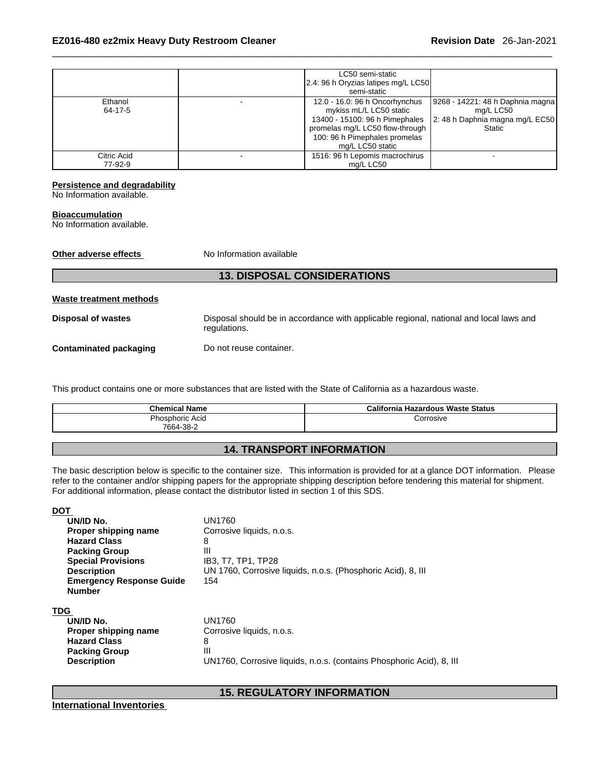|             | LC50 semi-static                    |                                  |
|-------------|-------------------------------------|----------------------------------|
|             | 2.4: 96 h Oryzias latipes mg/L LC50 |                                  |
|             | semi-static                         |                                  |
| Ethanol     | 12.0 - 16.0: 96 h Oncorhynchus      | 9268 - 14221: 48 h Daphnia magna |
| 64-17-5     | mykiss mL/L LC50 static             | mg/L LC50                        |
|             | 13400 - 15100: 96 h Pimephales      | 2: 48 h Daphnia magna mg/L EC50  |
|             | promelas mg/L LC50 flow-through     | <b>Static</b>                    |
|             | 100: 96 h Pimephales promelas       |                                  |
|             | mg/L LC50 static                    |                                  |
| Citric Acid | 1516: 96 h Lepomis macrochirus      |                                  |
| 77-92-9     | ma/L LC50                           |                                  |

## **Persistence and degradability**

No Information available.

#### **Bioaccumulation**

**DOT** 

No Information available.

| Other adverse effects          | No Information available                                                                               |
|--------------------------------|--------------------------------------------------------------------------------------------------------|
|                                | <b>13. DISPOSAL CONSIDERATIONS</b>                                                                     |
| <b>Waste treatment methods</b> |                                                                                                        |
| <b>Disposal of wastes</b>      | Disposal should be in accordance with applicable regional, national and local laws and<br>regulations. |
| <b>Contaminated packaging</b>  | Do not reuse container.                                                                                |
|                                |                                                                                                        |

This product contains one or more substances that are listed with the State of California as a hazardous waste.

| <b>Chemical Name</b>                | California<br><b>Hazardous Waste Status</b> |
|-------------------------------------|---------------------------------------------|
| <b>Phosphoric Acid</b><br>7664-38-2 | orrosive;                                   |

## **14. TRANSPORT INFORMATION**

The basic description below is specific to the container size. This information is provided for at a glance DOT information. Please refer to the container and/or shipping papers for the appropriate shipping description before tendering this material for shipment. For additional information, please contact the distributor listed in section 1 of this SDS.

| UN/ID No.                       | UN1760                                                               |
|---------------------------------|----------------------------------------------------------------------|
| Proper shipping name            | Corrosive liquids, n.o.s.                                            |
| <b>Hazard Class</b>             | 8                                                                    |
| <b>Packing Group</b>            | Ш                                                                    |
| <b>Special Provisions</b>       | IB3, T7, TP1, TP28                                                   |
| <b>Description</b>              | UN 1760, Corrosive liquids, n.o.s. (Phosphoric Acid), 8, III         |
| <b>Emergency Response Guide</b> | 154                                                                  |
| <b>Number</b>                   |                                                                      |
| TDG                             |                                                                      |
| UN/ID No.                       | UN1760                                                               |
| Proper shipping name            | Corrosive liquids, n.o.s.                                            |
| <b>Hazard Class</b>             | 8                                                                    |
| <b>Packing Group</b>            | Ш                                                                    |
| <b>Description</b>              | UN1760, Corrosive liquids, n.o.s. (contains Phosphoric Acid), 8, III |

**15. REGULATORY INFORMATION** 

**International Inventories**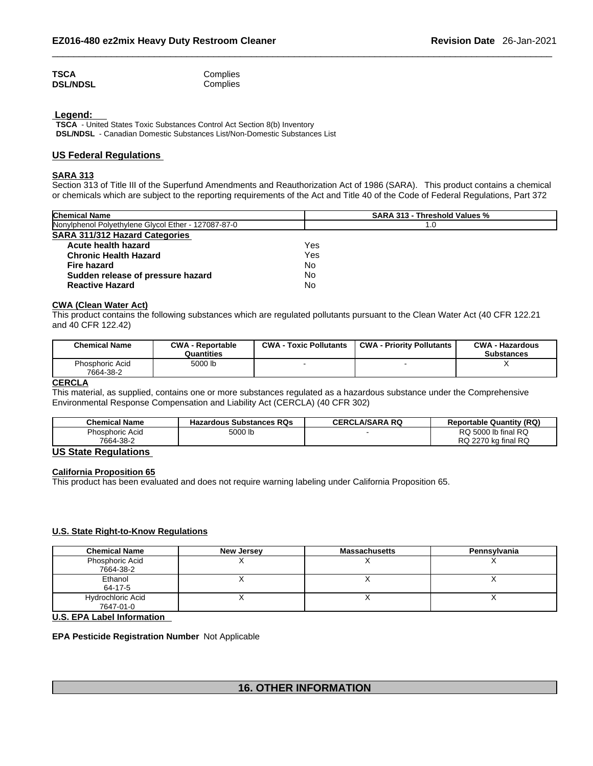| TSCA            | Complies |
|-----------------|----------|
| <b>DSL/NDSL</b> | Complies |

## **Legend:**

**TSCA** - United States Toxic Substances Control Act Section 8(b) Inventory **DSL/NDSL** - Canadian Domestic Substances List/Non-Domestic Substances List

## **US Federal Regulations**

## **SARA 313**

Section 313 of Title III of the Superfund Amendments and Reauthorization Act of 1986 (SARA). This product contains a chemical or chemicals which are subject to the reporting requirements of the Act and Title 40 of the Code of Federal Regulations, Part 372

| <b>Chemical Name</b>                                | <b>SARA 313 - Threshold Values %</b> |  |  |
|-----------------------------------------------------|--------------------------------------|--|--|
| Nonylphenol Polyethylene Glycol Ether - 127087-87-0 | 1.0                                  |  |  |
| <b>SARA 311/312 Hazard Categories</b>               |                                      |  |  |
| Acute health hazard                                 | Yes                                  |  |  |
| <b>Chronic Health Hazard</b>                        | Yes                                  |  |  |
| <b>Fire hazard</b>                                  | No                                   |  |  |
| Sudden release of pressure hazard                   | No                                   |  |  |
| <b>Reactive Hazard</b>                              | No                                   |  |  |

## **CWA (Clean WaterAct)**

This product contains the following substances which are regulated pollutants pursuant to the Clean Water Act (40 CFR 122.21 and 40 CFR 122.42)

| <b>Chemical Name</b>                | <b>CWA - Reportable</b><br>Quantities | <b>CWA - Toxic Pollutants</b> | <b>CWA - Priority Pollutants</b> | <b>CWA - Hazardous</b><br><b>Substances</b> |
|-------------------------------------|---------------------------------------|-------------------------------|----------------------------------|---------------------------------------------|
| <b>Phosphoric Acid</b><br>7664-38-2 | 5000 lb                               |                               |                                  |                                             |

## **CERCLA**

This material, as supplied, contains one or more substances regulated as a hazardous substance under the Comprehensive Environmental Response Compensation and Liability Act (CERCLA) (40 CFR 302)

| <b>Chemical Name</b>                                                             | <b>Hazardous Substances RQs</b> | <b>CERCLA/SARA RQ</b> | <b>Reportable Quantity (RQ)</b> |
|----------------------------------------------------------------------------------|---------------------------------|-----------------------|---------------------------------|
| Phosphoric Acid                                                                  | 5000 lb                         |                       | RQ 5000 lb final RQ             |
| 7664-38-2                                                                        |                                 |                       | RQ 2270 kg final RQ             |
| $\mathbf{1} \cdot \mathbf{2} \cdot \mathbf{3} \cdot \mathbf{4} \cdot \mathbf{5}$ |                                 |                       |                                 |

## **US State Regulations**

## **California Proposition 65**

This product has been evaluated and does not require warning labeling under California Proposition 65.

## **U.S. State Right-to-Know Regulations**

| <b>Chemical Name</b>     | <b>New Jersey</b> | <b>Massachusetts</b> | Pennsylvania |
|--------------------------|-------------------|----------------------|--------------|
| Phosphoric Acid          |                   |                      |              |
| 7664-38-2                |                   |                      |              |
| Ethanol                  |                   |                      |              |
| 64-17-5                  |                   |                      |              |
| <b>Hydrochloric Acid</b> |                   |                      |              |
| 7647-01-0                |                   |                      |              |

**U.S. EPA Label Information** 

### **EPA Pesticide Registration Number** Not Applicable